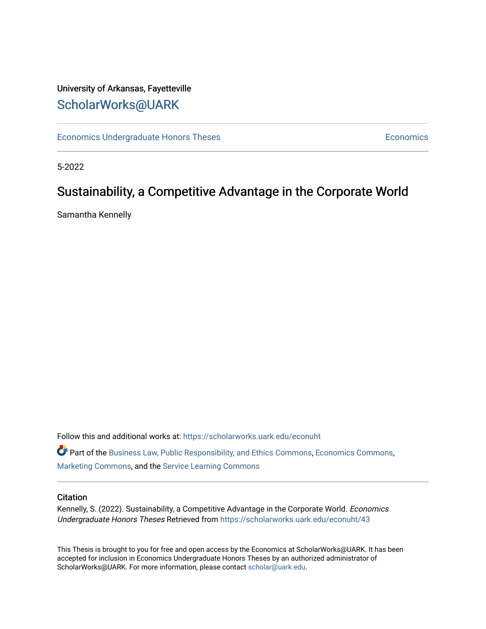# University of Arkansas, Fayetteville [ScholarWorks@UARK](https://scholarworks.uark.edu/)

[Economics Undergraduate Honors Theses](https://scholarworks.uark.edu/econuht) **Economics** Economics

5-2022

# Sustainability, a Competitive Advantage in the Corporate World

Samantha Kennelly

Follow this and additional works at: [https://scholarworks.uark.edu/econuht](https://scholarworks.uark.edu/econuht?utm_source=scholarworks.uark.edu%2Feconuht%2F43&utm_medium=PDF&utm_campaign=PDFCoverPages)

Part of the [Business Law, Public Responsibility, and Ethics Commons](http://network.bepress.com/hgg/discipline/628?utm_source=scholarworks.uark.edu%2Feconuht%2F43&utm_medium=PDF&utm_campaign=PDFCoverPages), [Economics Commons](http://network.bepress.com/hgg/discipline/340?utm_source=scholarworks.uark.edu%2Feconuht%2F43&utm_medium=PDF&utm_campaign=PDFCoverPages), [Marketing Commons](http://network.bepress.com/hgg/discipline/638?utm_source=scholarworks.uark.edu%2Feconuht%2F43&utm_medium=PDF&utm_campaign=PDFCoverPages), and the [Service Learning Commons](http://network.bepress.com/hgg/discipline/1024?utm_source=scholarworks.uark.edu%2Feconuht%2F43&utm_medium=PDF&utm_campaign=PDFCoverPages)

# **Citation**

Kennelly, S. (2022). Sustainability, a Competitive Advantage in the Corporate World. Economics Undergraduate Honors Theses Retrieved from [https://scholarworks.uark.edu/econuht/43](https://scholarworks.uark.edu/econuht/43?utm_source=scholarworks.uark.edu%2Feconuht%2F43&utm_medium=PDF&utm_campaign=PDFCoverPages)

This Thesis is brought to you for free and open access by the Economics at ScholarWorks@UARK. It has been accepted for inclusion in Economics Undergraduate Honors Theses by an authorized administrator of ScholarWorks@UARK. For more information, please contact [scholar@uark.edu](mailto:scholar@uark.edu).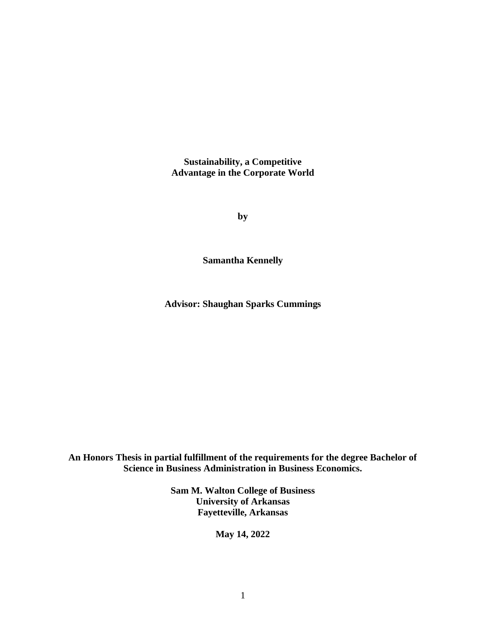**Sustainability, a Competitive Advantage in the Corporate World**

**by**

**Samantha Kennelly**

**Advisor: Shaughan Sparks Cummings**

**An Honors Thesis in partial fulfillment of the requirements for the degree Bachelor of Science in Business Administration in Business Economics.**

> **Sam M. Walton College of Business University of Arkansas Fayetteville, Arkansas**

> > **May 14, 2022**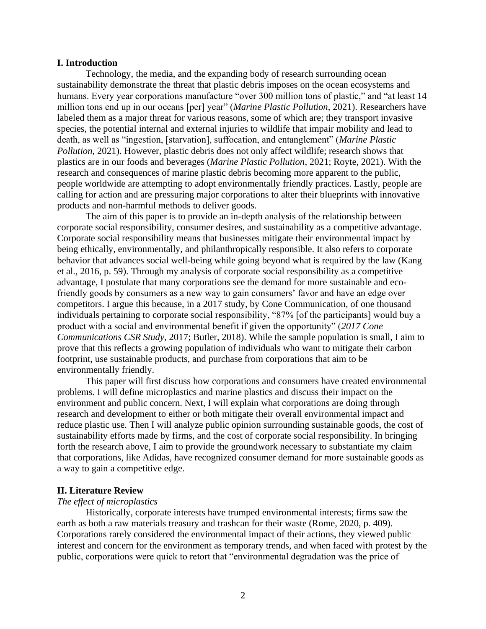## **I. Introduction**

Technology, the media, and the expanding body of research surrounding ocean sustainability demonstrate the threat that plastic debris imposes on the ocean ecosystems and humans. Every year corporations manufacture "over 300 million tons of plastic," and "at least 14 million tons end up in our oceans [per] year" (*Marine Plastic Pollution*, 2021). Researchers have labeled them as a major threat for various reasons, some of which are; they transport invasive species, the potential internal and external injuries to wildlife that impair mobility and lead to death, as well as "ingestion, [starvation], suffocation, and entanglement" (*Marine Plastic Pollution*, 2021). However, plastic debris does not only affect wildlife; research shows that plastics are in our foods and beverages (*Marine Plastic Pollution*, 2021; Royte, 2021). With the research and consequences of marine plastic debris becoming more apparent to the public, people worldwide are attempting to adopt environmentally friendly practices. Lastly, people are calling for action and are pressuring major corporations to alter their blueprints with innovative products and non-harmful methods to deliver goods.

The aim of this paper is to provide an in-depth analysis of the relationship between corporate social responsibility, consumer desires, and sustainability as a competitive advantage. Corporate social responsibility means that businesses mitigate their environmental impact by being ethically, environmentally, and philanthropically responsible. It also refers to corporate behavior that advances social well-being while going beyond what is required by the law (Kang et al., 2016, p. 59). Through my analysis of corporate social responsibility as a competitive advantage, I postulate that many corporations see the demand for more sustainable and ecofriendly goods by consumers as a new way to gain consumers' favor and have an edge over competitors. I argue this because, in a 2017 study, by Cone Communication, of one thousand individuals pertaining to corporate social responsibility, "87% [of the participants] would buy a product with a social and environmental benefit if given the opportunity" (*2017 Cone Communications CSR Study*, 2017; Butler, 2018). While the sample population is small, I aim to prove that this reflects a growing population of individuals who want to mitigate their carbon footprint, use sustainable products, and purchase from corporations that aim to be environmentally friendly.

This paper will first discuss how corporations and consumers have created environmental problems. I will define microplastics and marine plastics and discuss their impact on the environment and public concern. Next, I will explain what corporations are doing through research and development to either or both mitigate their overall environmental impact and reduce plastic use. Then I will analyze public opinion surrounding sustainable goods, the cost of sustainability efforts made by firms, and the cost of corporate social responsibility. In bringing forth the research above, I aim to provide the groundwork necessary to substantiate my claim that corporations, like Adidas, have recognized consumer demand for more sustainable goods as a way to gain a competitive edge.

## **II. Literature Review**

### *The effect of microplastics*

Historically, corporate interests have trumped environmental interests; firms saw the earth as both a raw materials treasury and trashcan for their waste (Rome, 2020, p. 409). Corporations rarely considered the environmental impact of their actions, they viewed public interest and concern for the environment as temporary trends, and when faced with protest by the public, corporations were quick to retort that "environmental degradation was the price of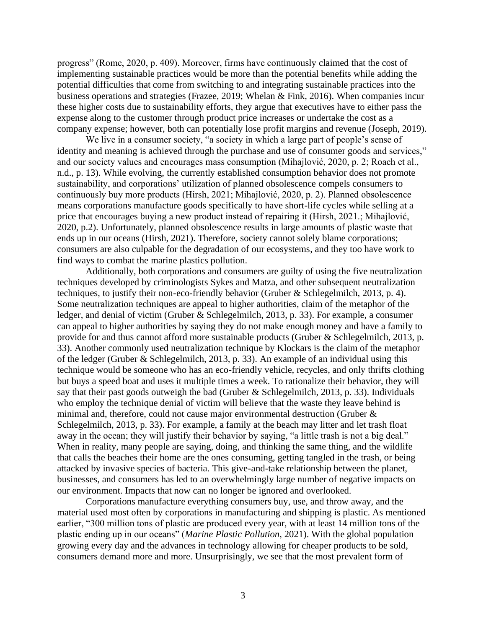progress" (Rome, 2020, p. 409). Moreover, firms have continuously claimed that the cost of implementing sustainable practices would be more than the potential benefits while adding the potential difficulties that come from switching to and integrating sustainable practices into the business operations and strategies (Frazee, 2019; Whelan & Fink, 2016). When companies incur these higher costs due to sustainability efforts, they argue that executives have to either pass the expense along to the customer through product price increases or undertake the cost as a company expense; however, both can potentially lose profit margins and revenue (Joseph, 2019).

We live in a consumer society, "a society in which a large part of people's sense of identity and meaning is achieved through the purchase and use of consumer goods and services," and our society values and encourages mass consumption (Mihajlović, 2020, p. 2; Roach et al., n.d., p. 13). While evolving, the currently established consumption behavior does not promote sustainability, and corporations' utilization of planned obsolescence compels consumers to continuously buy more products (Hirsh, 2021; Mihajlović, 2020, p. 2). Planned obsolescence means corporations manufacture goods specifically to have short-life cycles while selling at a price that encourages buying a new product instead of repairing it (Hirsh, 2021.; Mihajlović, 2020, p.2). Unfortunately, planned obsolescence results in large amounts of plastic waste that ends up in our oceans (Hirsh, 2021). Therefore, society cannot solely blame corporations; consumers are also culpable for the degradation of our ecosystems, and they too have work to find ways to combat the marine plastics pollution.

Additionally, both corporations and consumers are guilty of using the five neutralization techniques developed by criminologists Sykes and Matza, and other subsequent neutralization techniques, to justify their non-eco-friendly behavior (Gruber & Schlegelmilch, 2013, p. 4). Some neutralization techniques are appeal to higher authorities, claim of the metaphor of the ledger, and denial of victim (Gruber & Schlegelmilch, 2013, p. 33). For example, a consumer can appeal to higher authorities by saying they do not make enough money and have a family to provide for and thus cannot afford more sustainable products (Gruber & Schlegelmilch, 2013, p. 33). Another commonly used neutralization technique by Klockars is the claim of the metaphor of the ledger (Gruber & Schlegelmilch, 2013, p. 33). An example of an individual using this technique would be someone who has an eco-friendly vehicle, recycles, and only thrifts clothing but buys a speed boat and uses it multiple times a week. To rationalize their behavior, they will say that their past goods outweigh the bad (Gruber & Schlegelmilch, 2013, p. 33). Individuals who employ the technique denial of victim will believe that the waste they leave behind is minimal and, therefore, could not cause major environmental destruction (Gruber & Schlegelmilch, 2013, p. 33). For example, a family at the beach may litter and let trash float away in the ocean; they will justify their behavior by saying, "a little trash is not a big deal." When in reality, many people are saying, doing, and thinking the same thing, and the wildlife that calls the beaches their home are the ones consuming, getting tangled in the trash, or being attacked by invasive species of bacteria. This give-and-take relationship between the planet, businesses, and consumers has led to an overwhelmingly large number of negative impacts on our environment. Impacts that now can no longer be ignored and overlooked.

Corporations manufacture everything consumers buy, use, and throw away, and the material used most often by corporations in manufacturing and shipping is plastic. As mentioned earlier, "300 million tons of plastic are produced every year, with at least 14 million tons of the plastic ending up in our oceans" (*Marine Plastic Pollution*, 2021). With the global population growing every day and the advances in technology allowing for cheaper products to be sold, consumers demand more and more. Unsurprisingly, we see that the most prevalent form of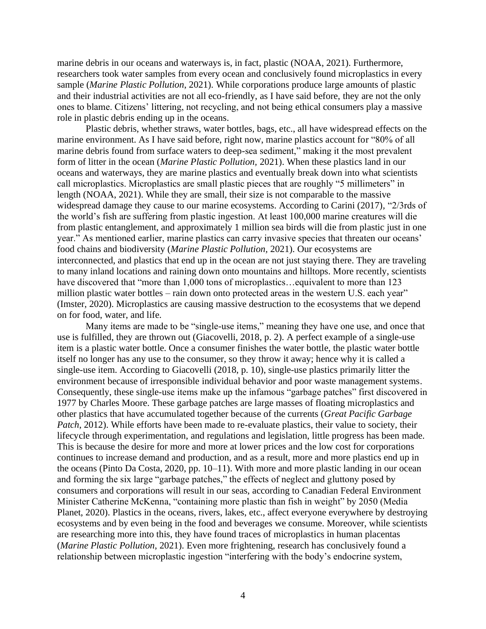marine debris in our oceans and waterways is, in fact, plastic (NOAA, 2021). Furthermore, researchers took water samples from every ocean and conclusively found microplastics in every sample (*Marine Plastic Pollution*, 2021). While corporations produce large amounts of plastic and their industrial activities are not all eco-friendly, as I have said before, they are not the only ones to blame. Citizens' littering, not recycling, and not being ethical consumers play a massive role in plastic debris ending up in the oceans.

Plastic debris, whether straws, water bottles, bags, etc., all have widespread effects on the marine environment. As I have said before, right now, marine plastics account for "80% of all marine debris found from surface waters to deep-sea sediment," making it the most prevalent form of litter in the ocean (*Marine Plastic Pollution,* 2021). When these plastics land in our oceans and waterways, they are marine plastics and eventually break down into what scientists call microplastics. Microplastics are small plastic pieces that are roughly "5 millimeters" in length (NOAA, 2021). While they are small, their size is not comparable to the massive widespread damage they cause to our marine ecosystems. According to Carini (2017)*,* "2/3rds of the world's fish are suffering from plastic ingestion. At least 100,000 marine creatures will die from plastic entanglement, and approximately 1 million sea birds will die from plastic just in one year." As mentioned earlier, marine plastics can carry invasive species that threaten our oceans' food chains and biodiversity (*Marine Plastic Pollution,* 2021). Our ecosystems are interconnected, and plastics that end up in the ocean are not just staying there. They are traveling to many inland locations and raining down onto mountains and hilltops. More recently, scientists have discovered that "more than 1,000 tons of microplastics... equivalent to more than 123 million plastic water bottles – rain down onto protected areas in the western U.S. each year" (Imster, 2020). Microplastics are causing massive destruction to the ecosystems that we depend on for food, water, and life.

Many items are made to be "single-use items," meaning they have one use, and once that use is fulfilled, they are thrown out (Giacovelli, 2018, p. 2). A perfect example of a single-use item is a plastic water bottle. Once a consumer finishes the water bottle, the plastic water bottle itself no longer has any use to the consumer, so they throw it away; hence why it is called a single-use item. According to Giacovelli (2018, p. 10), single-use plastics primarily litter the environment because of irresponsible individual behavior and poor waste management systems. Consequently, these single-use items make up the infamous "garbage patches" first discovered in 1977 by Charles Moore. These garbage patches are large masses of floating microplastics and other plastics that have accumulated together because of the currents (*Great Pacific Garbage Patch*, 2012). While efforts have been made to re-evaluate plastics, their value to society, their lifecycle through experimentation, and regulations and legislation, little progress has been made. This is because the desire for more and more at lower prices and the low cost for corporations continues to increase demand and production, and as a result, more and more plastics end up in the oceans (Pinto Da Costa, 2020, pp. 10–11). With more and more plastic landing in our ocean and forming the six large "garbage patches," the effects of neglect and gluttony posed by consumers and corporations will result in our seas, according to Canadian Federal Environment Minister Catherine McKenna, "containing more plastic than fish in weight" by 2050 (Media Planet, 2020). Plastics in the oceans, rivers, lakes, etc., affect everyone everywhere by destroying ecosystems and by even being in the food and beverages we consume. Moreover, while scientists are researching more into this, they have found traces of microplastics in human placentas (*Marine Plastic Pollution*, 2021). Even more frightening, research has conclusively found a relationship between microplastic ingestion "interfering with the body's endocrine system,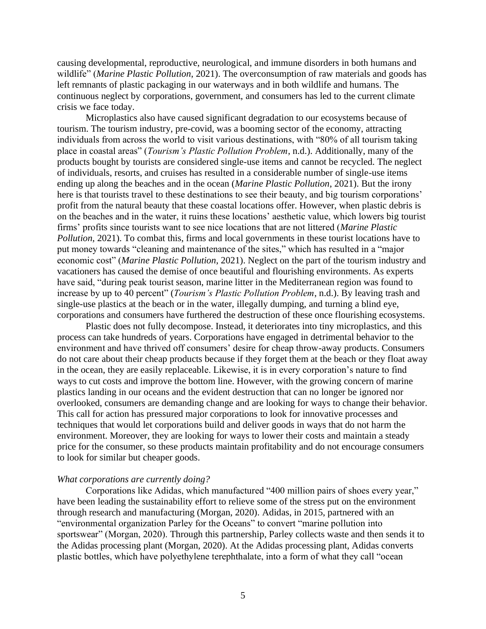causing developmental, reproductive, neurological, and immune disorders in both humans and wildlife" (*Marine Plastic Pollution*, 2021). The overconsumption of raw materials and goods has left remnants of plastic packaging in our waterways and in both wildlife and humans. The continuous neglect by corporations, government, and consumers has led to the current climate crisis we face today.

Microplastics also have caused significant degradation to our ecosystems because of tourism. The tourism industry, pre-covid, was a booming sector of the economy, attracting individuals from across the world to visit various destinations, with "80% of all tourism taking place in coastal areas" (*Tourism's Plastic Pollution Problem*, n.d.). Additionally, many of the products bought by tourists are considered single-use items and cannot be recycled. The neglect of individuals, resorts, and cruises has resulted in a considerable number of single-use items ending up along the beaches and in the ocean (*Marine Plastic Pollution*, 2021). But the irony here is that tourists travel to these destinations to see their beauty, and big tourism corporations' profit from the natural beauty that these coastal locations offer. However, when plastic debris is on the beaches and in the water, it ruins these locations' aesthetic value, which lowers big tourist firms' profits since tourists want to see nice locations that are not littered (*Marine Plastic Pollution*, 2021). To combat this, firms and local governments in these tourist locations have to put money towards "cleaning and maintenance of the sites," which has resulted in a "major economic cost" (*Marine Plastic Pollution*, 2021). Neglect on the part of the tourism industry and vacationers has caused the demise of once beautiful and flourishing environments. As experts have said, "during peak tourist season, marine litter in the Mediterranean region was found to increase by up to 40 percent" (*Tourism's Plastic Pollution Problem*, n.d.). By leaving trash and single-use plastics at the beach or in the water, illegally dumping, and turning a blind eye, corporations and consumers have furthered the destruction of these once flourishing ecosystems.

Plastic does not fully decompose. Instead, it deteriorates into tiny microplastics, and this process can take hundreds of years. Corporations have engaged in detrimental behavior to the environment and have thrived off consumers' desire for cheap throw-away products. Consumers do not care about their cheap products because if they forget them at the beach or they float away in the ocean, they are easily replaceable. Likewise, it is in every corporation's nature to find ways to cut costs and improve the bottom line. However, with the growing concern of marine plastics landing in our oceans and the evident destruction that can no longer be ignored nor overlooked, consumers are demanding change and are looking for ways to change their behavior. This call for action has pressured major corporations to look for innovative processes and techniques that would let corporations build and deliver goods in ways that do not harm the environment. Moreover, they are looking for ways to lower their costs and maintain a steady price for the consumer, so these products maintain profitability and do not encourage consumers to look for similar but cheaper goods.

#### *What corporations are currently doing?*

Corporations like Adidas, which manufactured "400 million pairs of shoes every year," have been leading the sustainability effort to relieve some of the stress put on the environment through research and manufacturing (Morgan, 2020). Adidas, in 2015, partnered with an "environmental organization Parley for the Oceans" to convert "marine pollution into sportswear" (Morgan, 2020). Through this partnership, Parley collects waste and then sends it to the Adidas processing plant (Morgan, 2020). At the Adidas processing plant, Adidas converts plastic bottles, which have polyethylene terephthalate, into a form of what they call "ocean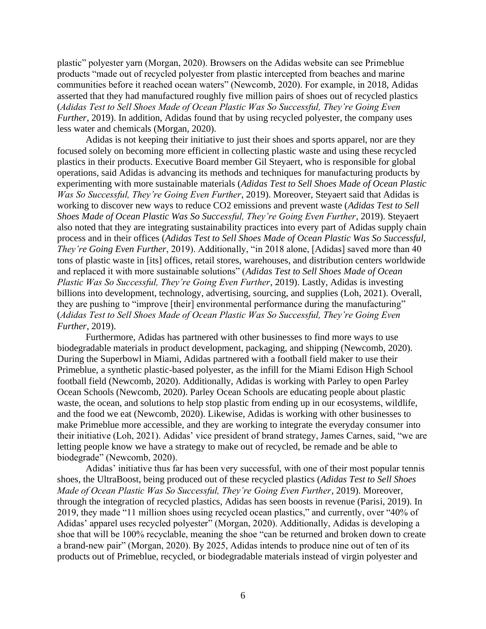plastic" polyester yarn (Morgan, 2020). Browsers on the Adidas website can see Primeblue products "made out of recycled polyester from plastic intercepted from beaches and marine communities before it reached ocean waters" (Newcomb, 2020). For example, in 2018, Adidas asserted that they had manufactured roughly five million pairs of shoes out of recycled plastics (*Adidas Test to Sell Shoes Made of Ocean Plastic Was So Successful, They're Going Even Further*, 2019). In addition, Adidas found that by using recycled polyester, the company uses less water and chemicals (Morgan, 2020).

Adidas is not keeping their initiative to just their shoes and sports apparel, nor are they focused solely on becoming more efficient in collecting plastic waste and using these recycled plastics in their products. Executive Board member Gil Steyaert, who is responsible for global operations, said Adidas is advancing its methods and techniques for manufacturing products by experimenting with more sustainable materials (*Adidas Test to Sell Shoes Made of Ocean Plastic Was So Successful, They're Going Even Further*, 2019). Moreover, Steyaert said that Adidas is working to discover new ways to reduce CO2 emissions and prevent waste (*Adidas Test to Sell Shoes Made of Ocean Plastic Was So Successful, They're Going Even Further*, 2019). Steyaert also noted that they are integrating sustainability practices into every part of Adidas supply chain process and in their offices (*Adidas Test to Sell Shoes Made of Ocean Plastic Was So Successful, They're Going Even Further*, 2019). Additionally, "in 2018 alone, [Adidas] saved more than 40 tons of plastic waste in [its] offices, retail stores, warehouses, and distribution centers worldwide and replaced it with more sustainable solutions" (*Adidas Test to Sell Shoes Made of Ocean Plastic Was So Successful, They're Going Even Further*, 2019). Lastly, Adidas is investing billions into development, technology, advertising, sourcing, and supplies (Loh, 2021). Overall, they are pushing to "improve [their] environmental performance during the manufacturing" (*Adidas Test to Sell Shoes Made of Ocean Plastic Was So Successful, They're Going Even Further*, 2019).

Furthermore, Adidas has partnered with other businesses to find more ways to use biodegradable materials in product development, packaging, and shipping (Newcomb, 2020). During the Superbowl in Miami, Adidas partnered with a football field maker to use their Primeblue, a synthetic plastic-based polyester, as the infill for the Miami Edison High School football field (Newcomb, 2020). Additionally, Adidas is working with Parley to open Parley Ocean Schools (Newcomb, 2020). Parley Ocean Schools are educating people about plastic waste, the ocean, and solutions to help stop plastic from ending up in our ecosystems, wildlife, and the food we eat (Newcomb, 2020). Likewise, Adidas is working with other businesses to make Primeblue more accessible, and they are working to integrate the everyday consumer into their initiative (Loh, 2021). Adidas' vice president of brand strategy, James Carnes, said, "we are letting people know we have a strategy to make out of recycled, be remade and be able to biodegrade" (Newcomb, 2020).

Adidas' initiative thus far has been very successful, with one of their most popular tennis shoes, the UltraBoost, being produced out of these recycled plastics (*Adidas Test to Sell Shoes Made of Ocean Plastic Was So Successful, They're Going Even Further*, 2019). Moreover, through the integration of recycled plastics, Adidas has seen boosts in revenue (Parisi, 2019). In 2019, they made "11 million shoes using recycled ocean plastics," and currently, over "40% of Adidas' apparel uses recycled polyester" (Morgan, 2020). Additionally, Adidas is developing a shoe that will be 100% recyclable, meaning the shoe "can be returned and broken down to create a brand-new pair" (Morgan, 2020). By 2025, Adidas intends to produce nine out of ten of its products out of Primeblue, recycled, or biodegradable materials instead of virgin polyester and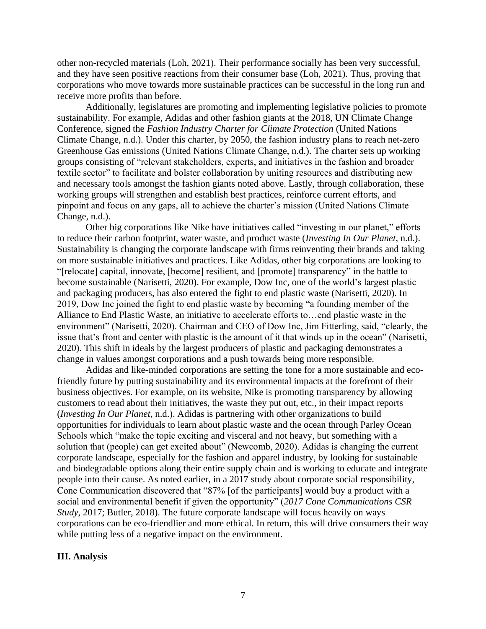other non-recycled materials (Loh, 2021). Their performance socially has been very successful, and they have seen positive reactions from their consumer base (Loh, 2021). Thus, proving that corporations who move towards more sustainable practices can be successful in the long run and receive more profits than before.

Additionally, legislatures are promoting and implementing legislative policies to promote sustainability. For example, Adidas and other fashion giants at the 2018, UN Climate Change Conference, signed the *Fashion Industry Charter for Climate Protection* (United Nations Climate Change, n.d.). Under this charter, by 2050, the fashion industry plans to reach net-zero Greenhouse Gas emissions (United Nations Climate Change, n.d.). The charter sets up working groups consisting of "relevant stakeholders, experts, and initiatives in the fashion and broader textile sector" to facilitate and bolster collaboration by uniting resources and distributing new and necessary tools amongst the fashion giants noted above. Lastly, through collaboration, these working groups will strengthen and establish best practices, reinforce current efforts, and pinpoint and focus on any gaps, all to achieve the charter's mission (United Nations Climate Change, n.d.).

Other big corporations like Nike have initiatives called "investing in our planet," efforts to reduce their carbon footprint, water waste, and product waste (*Investing In Our Planet*, n.d.). Sustainability is changing the corporate landscape with firms reinventing their brands and taking on more sustainable initiatives and practices. Like Adidas, other big corporations are looking to "[relocate] capital, innovate, [become] resilient, and [promote] transparency" in the battle to become sustainable (Narisetti, 2020). For example, Dow Inc, one of the world's largest plastic and packaging producers, has also entered the fight to end plastic waste (Narisetti, 2020). In 2019, Dow Inc joined the fight to end plastic waste by becoming "a founding member of the Alliance to End Plastic Waste, an initiative to accelerate efforts to…end plastic waste in the environment" (Narisetti, 2020). Chairman and CEO of Dow Inc, Jim Fitterling, said, "clearly, the issue that's front and center with plastic is the amount of it that winds up in the ocean" (Narisetti, 2020). This shift in ideals by the largest producers of plastic and packaging demonstrates a change in values amongst corporations and a push towards being more responsible.

Adidas and like-minded corporations are setting the tone for a more sustainable and ecofriendly future by putting sustainability and its environmental impacts at the forefront of their business objectives. For example, on its website, Nike is promoting transparency by allowing customers to read about their initiatives, the waste they put out, etc., in their impact reports (*Investing In Our Planet*, n.d.). Adidas is partnering with other organizations to build opportunities for individuals to learn about plastic waste and the ocean through Parley Ocean Schools which "make the topic exciting and visceral and not heavy, but something with a solution that (people) can get excited about" (Newcomb, 2020). Adidas is changing the current corporate landscape, especially for the fashion and apparel industry, by looking for sustainable and biodegradable options along their entire supply chain and is working to educate and integrate people into their cause. As noted earlier, in a 2017 study about corporate social responsibility, Cone Communication discovered that "87% [of the participants] would buy a product with a social and environmental benefit if given the opportunity" (*2017 Cone Communications CSR Study*, 2017; Butler, 2018). The future corporate landscape will focus heavily on ways corporations can be eco-friendlier and more ethical. In return, this will drive consumers their way while putting less of a negative impact on the environment.

# **III. Analysis**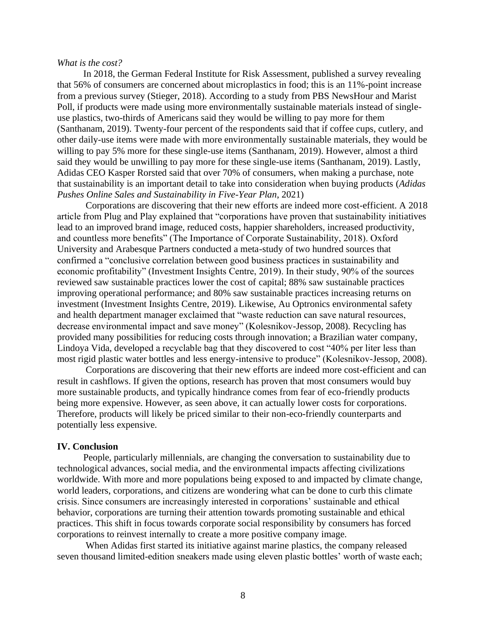### *What is the cost?*

In 2018, the German Federal Institute for Risk Assessment, published a survey revealing that 56% of consumers are concerned about microplastics in food; this is an 11%-point increase from a previous survey (Stieger, 2018). According to a study from PBS NewsHour and Marist Poll, if products were made using more environmentally sustainable materials instead of singleuse plastics, two-thirds of Americans said they would be willing to pay more for them (Santhanam, 2019). Twenty-four percent of the respondents said that if coffee cups, cutlery, and other daily-use items were made with more environmentally sustainable materials, they would be willing to pay 5% more for these single-use items (Santhanam, 2019). However, almost a third said they would be unwilling to pay more for these single-use items (Santhanam, 2019). Lastly, Adidas CEO Kasper Rorsted said that over 70% of consumers, when making a purchase, note that sustainability is an important detail to take into consideration when buying products (*Adidas Pushes Online Sales and Sustainability in Five-Year Plan*, 2021)

Corporations are discovering that their new efforts are indeed more cost-efficient. A 2018 article from Plug and Play explained that "corporations have proven that sustainability initiatives lead to an improved brand image, reduced costs, happier shareholders, increased productivity, and countless more benefits" (The Importance of Corporate Sustainability, 2018). Oxford University and Arabesque Partners conducted a meta-study of two hundred sources that confirmed a "conclusive correlation between good business practices in sustainability and economic profitability" (Investment Insights Centre, 2019). In their study, 90% of the sources reviewed saw sustainable practices lower the cost of capital; 88% saw sustainable practices improving operational performance; and 80% saw sustainable practices increasing returns on investment (Investment Insights Centre, 2019). Likewise, Au Optronics environmental safety and health department manager exclaimed that "waste reduction can save natural resources, decrease environmental impact and save money" (Kolesnikov-Jessop, 2008). Recycling has provided many possibilities for reducing costs through innovation; a Brazilian water company, Lindoya Vida, developed a recyclable bag that they discovered to cost "40% per liter less than most rigid plastic water bottles and less energy-intensive to produce" (Kolesnikov-Jessop, 2008).

Corporations are discovering that their new efforts are indeed more cost-efficient and can result in cashflows. If given the options, research has proven that most consumers would buy more sustainable products, and typically hindrance comes from fear of eco-friendly products being more expensive. However, as seen above, it can actually lower costs for corporations. Therefore, products will likely be priced similar to their non-eco-friendly counterparts and potentially less expensive.

#### **IV. Conclusion**

People, particularly millennials, are changing the conversation to sustainability due to technological advances, social media, and the environmental impacts affecting civilizations worldwide. With more and more populations being exposed to and impacted by climate change, world leaders, corporations, and citizens are wondering what can be done to curb this climate crisis. Since consumers are increasingly interested in corporations' sustainable and ethical behavior, corporations are turning their attention towards promoting sustainable and ethical practices. This shift in focus towards corporate social responsibility by consumers has forced corporations to reinvest internally to create a more positive company image.

When Adidas first started its initiative against marine plastics, the company released seven thousand limited-edition sneakers made using eleven plastic bottles' worth of waste each;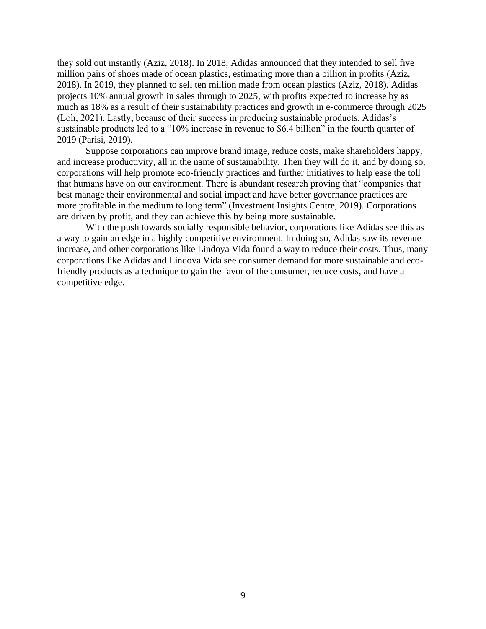they sold out instantly (Aziz, 2018). In 2018, Adidas announced that they intended to sell five million pairs of shoes made of ocean plastics, estimating more than a billion in profits (Aziz, 2018). In 2019, they planned to sell ten million made from ocean plastics (Aziz, 2018). Adidas projects 10% annual growth in sales through to 2025, with profits expected to increase by as much as 18% as a result of their sustainability practices and growth in e-commerce through 2025 (Loh, 2021). Lastly, because of their success in producing sustainable products, Adidas's sustainable products led to a "10% increase in revenue to \$6.4 billion" in the fourth quarter of 2019 (Parisi, 2019).

Suppose corporations can improve brand image, reduce costs, make shareholders happy, and increase productivity, all in the name of sustainability. Then they will do it, and by doing so, corporations will help promote eco-friendly practices and further initiatives to help ease the toll that humans have on our environment. There is abundant research proving that "companies that best manage their environmental and social impact and have better governance practices are more profitable in the medium to long term" (Investment Insights Centre, 2019). Corporations are driven by profit, and they can achieve this by being more sustainable.

With the push towards socially responsible behavior, corporations like Adidas see this as a way to gain an edge in a highly competitive environment. In doing so, Adidas saw its revenue increase, and other corporations like Lindoya Vida found a way to reduce their costs. Thus, many corporations like Adidas and Lindoya Vida see consumer demand for more sustainable and ecofriendly products as a technique to gain the favor of the consumer, reduce costs, and have a competitive edge.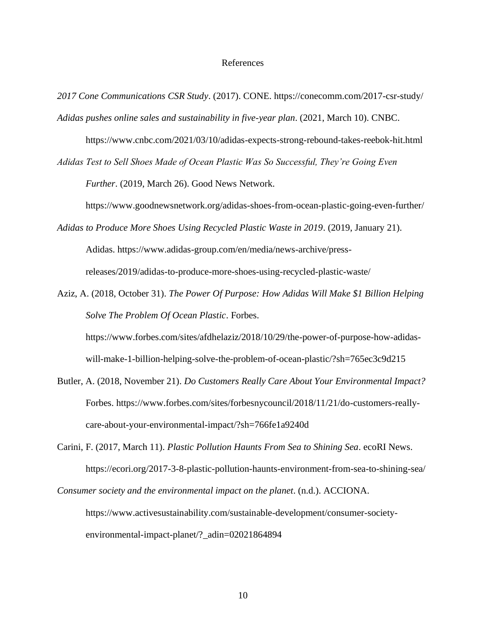## References

- *2017 Cone Communications CSR Study*. (2017). CONE. https://conecomm.com/2017-csr-study/ *Adidas pushes online sales and sustainability in five-year plan*. (2021, March 10). CNBC.
	- https://www.cnbc.com/2021/03/10/adidas-expects-strong-rebound-takes-reebok-hit.html
- *Adidas Test to Sell Shoes Made of Ocean Plastic Was So Successful, They're Going Even Further*. (2019, March 26). Good News Network.

https://www.goodnewsnetwork.org/adidas-shoes-from-ocean-plastic-going-even-further/

- *Adidas to Produce More Shoes Using Recycled Plastic Waste in 2019*. (2019, January 21). Adidas. https://www.adidas-group.com/en/media/news-archive/pressreleases/2019/adidas-to-produce-more-shoes-using-recycled-plastic-waste/
- Aziz, A. (2018, October 31). *The Power Of Purpose: How Adidas Will Make \$1 Billion Helping Solve The Problem Of Ocean Plastic*. Forbes.

https://www.forbes.com/sites/afdhelaziz/2018/10/29/the-power-of-purpose-how-adidaswill-make-1-billion-helping-solve-the-problem-of-ocean-plastic/?sh=765ec3c9d215

- Butler, A. (2018, November 21). *Do Customers Really Care About Your Environmental Impact?* Forbes. https://www.forbes.com/sites/forbesnycouncil/2018/11/21/do-customers-reallycare-about-your-environmental-impact/?sh=766fe1a9240d
- Carini, F. (2017, March 11). *Plastic Pollution Haunts From Sea to Shining Sea*. ecoRI News. https://ecori.org/2017-3-8-plastic-pollution-haunts-environment-from-sea-to-shining-sea/

*Consumer society and the environmental impact on the planet*. (n.d.). ACCIONA. https://www.activesustainability.com/sustainable-development/consumer-societyenvironmental-impact-planet/?\_adin=02021864894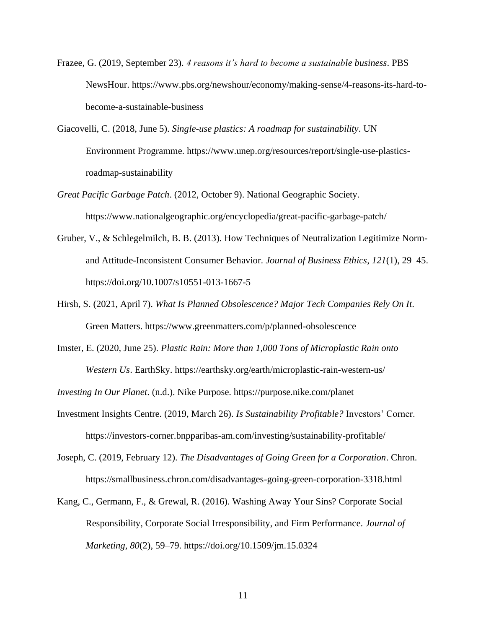- Frazee, G. (2019, September 23). *4 reasons it's hard to become a sustainable business*. PBS NewsHour. https://www.pbs.org/newshour/economy/making-sense/4-reasons-its-hard-tobecome-a-sustainable-business
- Giacovelli, C. (2018, June 5). *Single-use plastics: A roadmap for sustainability*. UN Environment Programme. https://www.unep.org/resources/report/single-use-plasticsroadmap-sustainability
- *Great Pacific Garbage Patch*. (2012, October 9). National Geographic Society. https://www.nationalgeographic.org/encyclopedia/great-pacific-garbage-patch/
- Gruber, V., & Schlegelmilch, B. B. (2013). How Techniques of Neutralization Legitimize Normand Attitude-Inconsistent Consumer Behavior. *Journal of Business Ethics*, *121*(1), 29–45. https://doi.org/10.1007/s10551-013-1667-5
- Hirsh, S. (2021, April 7). *What Is Planned Obsolescence? Major Tech Companies Rely On It*. Green Matters. https://www.greenmatters.com/p/planned-obsolescence
- Imster, E. (2020, June 25). *Plastic Rain: More than 1,000 Tons of Microplastic Rain onto Western Us.* EarthSky. https://earthsky.org/earth/microplastic-rain-western-us/

*Investing In Our Planet*. (n.d.). Nike Purpose. https://purpose.nike.com/planet

- Investment Insights Centre. (2019, March 26). *Is Sustainability Profitable?* Investors' Corner. https://investors-corner.bnpparibas-am.com/investing/sustainability-profitable/
- Joseph, C. (2019, February 12). *The Disadvantages of Going Green for a Corporation*. Chron. https://smallbusiness.chron.com/disadvantages-going-green-corporation-3318.html
- Kang, C., Germann, F., & Grewal, R. (2016). Washing Away Your Sins? Corporate Social Responsibility, Corporate Social Irresponsibility, and Firm Performance. *Journal of Marketing*, *80*(2), 59–79. https://doi.org/10.1509/jm.15.0324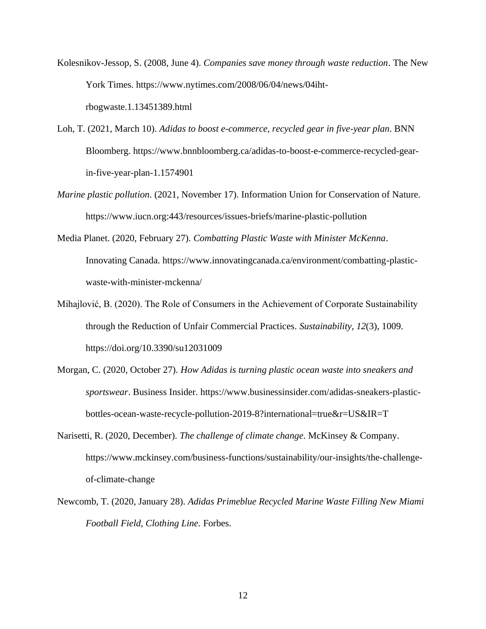- Kolesnikov-Jessop, S. (2008, June 4). *Companies save money through waste reduction*. The New York Times. https://www.nytimes.com/2008/06/04/news/04ihtrbogwaste.1.13451389.html
- Loh, T. (2021, March 10). *Adidas to boost e-commerce, recycled gear in five-year plan*. BNN Bloomberg. https://www.bnnbloomberg.ca/adidas-to-boost-e-commerce-recycled-gearin-five-year-plan-1.1574901
- *Marine plastic pollution*. (2021, November 17). Information Union for Conservation of Nature. https://www.iucn.org:443/resources/issues-briefs/marine-plastic-pollution
- Media Planet. (2020, February 27). *Combatting Plastic Waste with Minister McKenna*. Innovating Canada. https://www.innovatingcanada.ca/environment/combatting-plasticwaste-with-minister-mckenna/
- Mihajlović, B. (2020). The Role of Consumers in the Achievement of Corporate Sustainability through the Reduction of Unfair Commercial Practices. *Sustainability*, *12*(3), 1009. https://doi.org/10.3390/su12031009
- Morgan, C. (2020, October 27). *How Adidas is turning plastic ocean waste into sneakers and sportswear*. Business Insider. https://www.businessinsider.com/adidas-sneakers-plasticbottles-ocean-waste-recycle-pollution-2019-8?international=true&r=US&IR=T
- Narisetti, R. (2020, December). *The challenge of climate change*. McKinsey & Company. https://www.mckinsey.com/business-functions/sustainability/our-insights/the-challengeof-climate-change
- Newcomb, T. (2020, January 28). *Adidas Primeblue Recycled Marine Waste Filling New Miami Football Field, Clothing Line*. Forbes.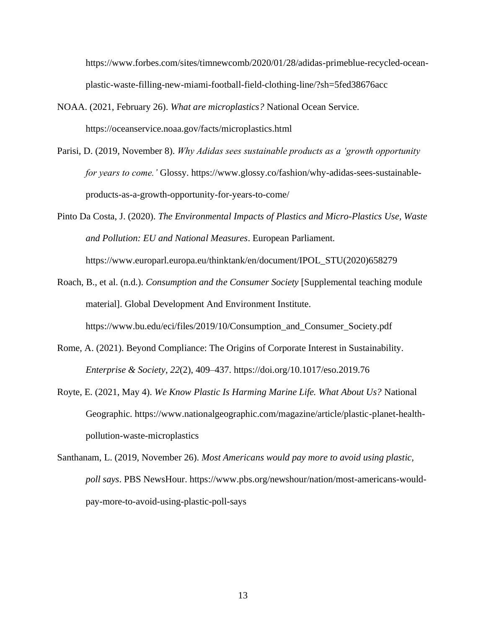https://www.forbes.com/sites/timnewcomb/2020/01/28/adidas-primeblue-recycled-oceanplastic-waste-filling-new-miami-football-field-clothing-line/?sh=5fed38676acc

- NOAA. (2021, February 26). *What are microplastics?* National Ocean Service. https://oceanservice.noaa.gov/facts/microplastics.html
- Parisi, D. (2019, November 8). *Why Adidas sees sustainable products as a 'growth opportunity for years to come.'* Glossy. https://www.glossy.co/fashion/why-adidas-sees-sustainableproducts-as-a-growth-opportunity-for-years-to-come/
- Pinto Da Costa, J. (2020). *The Environmental Impacts of Plastics and Micro-Plastics Use, Waste and Pollution: EU and National Measures*. European Parliament. https://www.europarl.europa.eu/thinktank/en/document/IPOL\_STU(2020)658279
- Roach, B., et al. (n.d.). *Consumption and the Consumer Society* [Supplemental teaching module material]. Global Development And Environment Institute. https://www.bu.edu/eci/files/2019/10/Consumption\_and\_Consumer\_Society.pdf
- Rome, A. (2021). Beyond Compliance: The Origins of Corporate Interest in Sustainability. *Enterprise & Society*, *22*(2), 409–437. https://doi.org/10.1017/eso.2019.76
- Royte, E. (2021, May 4). *We Know Plastic Is Harming Marine Life. What About Us?* National Geographic. https://www.nationalgeographic.com/magazine/article/plastic-planet-healthpollution-waste-microplastics
- Santhanam, L. (2019, November 26). *Most Americans would pay more to avoid using plastic, poll says*. PBS NewsHour. https://www.pbs.org/newshour/nation/most-americans-wouldpay-more-to-avoid-using-plastic-poll-says